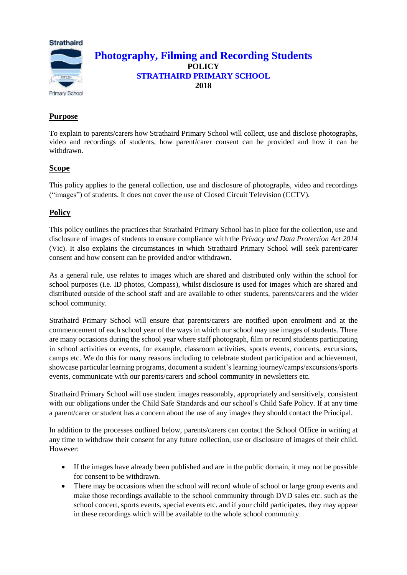

# **Purpose**

To explain to parents/carers how Strathaird Primary School will collect, use and disclose photographs, video and recordings of students, how parent/carer consent can be provided and how it can be withdrawn.

# **Scope**

This policy applies to the general collection, use and disclosure of photographs, video and recordings ("images") of students. It does not cover the use of Closed Circuit Television (CCTV).

### **Policy**

This policy outlines the practices that Strathaird Primary School has in place for the collection, use and disclosure of images of students to ensure compliance with the *Privacy and Data Protection Act 2014*  (Vic). It also explains the circumstances in which Strathaird Primary School will seek parent/carer consent and how consent can be provided and/or withdrawn.

As a general rule, use relates to images which are shared and distributed only within the school for school purposes (i.e. ID photos, Compass), whilst disclosure is used for images which are shared and distributed outside of the school staff and are available to other students, parents/carers and the wider school community.

Strathaird Primary School will ensure that parents/carers are notified upon enrolment and at the commencement of each school year of the ways in which our school may use images of students. There are many occasions during the school year where staff photograph, film or record students participating in school activities or events, for example, classroom activities, sports events, concerts, excursions, camps etc. We do this for many reasons including to celebrate student participation and achievement, showcase particular learning programs, document a student's learning journey/camps/excursions/sports events, communicate with our parents/carers and school community in newsletters etc.

Strathaird Primary School will use student images reasonably, appropriately and sensitively, consistent with our obligations under the Child Safe Standards and our school's Child Safe Policy. If at any time a parent/carer or student has a concern about the use of any images they should contact the Principal.

In addition to the processes outlined below, parents/carers can contact the School Office in writing at any time to withdraw their consent for any future collection, use or disclosure of images of their child. However:

- If the images have already been published and are in the public domain, it may not be possible for consent to be withdrawn.
- There may be occasions when the school will record whole of school or large group events and make those recordings available to the school community through DVD sales etc. such as the school concert, sports events, special events etc. and if your child participates, they may appear in these recordings which will be available to the whole school community.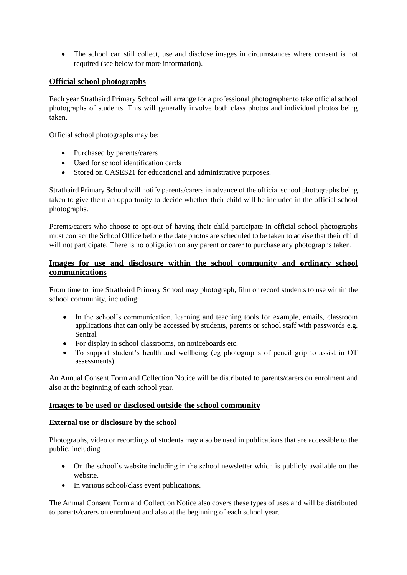• The school can still collect, use and disclose images in circumstances where consent is not required (see below for more information).

### **Official school photographs**

Each year Strathaird Primary School will arrange for a professional photographer to take official school photographs of students. This will generally involve both class photos and individual photos being taken.

Official school photographs may be:

- Purchased by parents/carers
- Used for school identification cards
- Stored on CASES21 for educational and administrative purposes.

Strathaird Primary School will notify parents/carers in advance of the official school photographs being taken to give them an opportunity to decide whether their child will be included in the official school photographs.

Parents/carers who choose to opt-out of having their child participate in official school photographs must contact the School Office before the date photos are scheduled to be taken to advise that their child will not participate. There is no obligation on any parent or carer to purchase any photographs taken.

### **Images for use and disclosure within the school community and ordinary school communications**

From time to time Strathaird Primary School may photograph, film or record students to use within the school community, including:

- In the school's communication, learning and teaching tools for example, emails, classroom applications that can only be accessed by students, parents or school staff with passwords e.g. Sentral
- For display in school classrooms, on noticeboards etc.
- To support student's health and wellbeing (eg photographs of pencil grip to assist in OT assessments)

An Annual Consent Form and Collection Notice will be distributed to parents/carers on enrolment and also at the beginning of each school year.

### **Images to be used or disclosed outside the school community**

### **External use or disclosure by the school**

Photographs, video or recordings of students may also be used in publications that are accessible to the public, including

- On the school's website including in the school newsletter which is publicly available on the website.
- In various school/class event publications.

The Annual Consent Form and Collection Notice also covers these types of uses and will be distributed to parents/carers on enrolment and also at the beginning of each school year.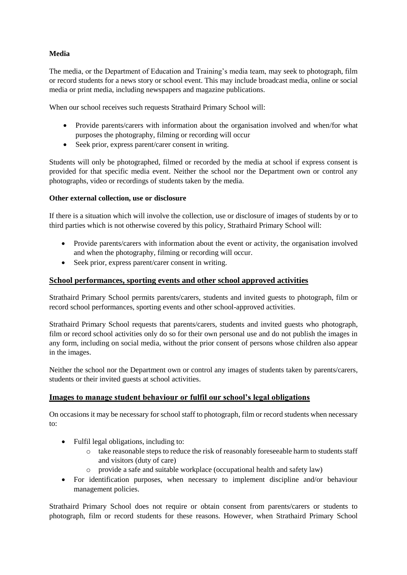## **Media**

The media, or the Department of Education and Training's media team, may seek to photograph, film or record students for a news story or school event. This may include broadcast media, online or social media or print media, including newspapers and magazine publications.

When our school receives such requests Strathaird Primary School will:

- Provide parents/carers with information about the organisation involved and when/for what purposes the photography, filming or recording will occur
- Seek prior, express parent/carer consent in writing.

Students will only be photographed, filmed or recorded by the media at school if express consent is provided for that specific media event. Neither the school nor the Department own or control any photographs, video or recordings of students taken by the media.

### **Other external collection, use or disclosure**

If there is a situation which will involve the collection, use or disclosure of images of students by or to third parties which is not otherwise covered by this policy, Strathaird Primary School will:

- Provide parents/carers with information about the event or activity, the organisation involved and when the photography, filming or recording will occur.
- Seek prior, express parent/carer consent in writing.

### **School performances, sporting events and other school approved activities**

Strathaird Primary School permits parents/carers, students and invited guests to photograph, film or record school performances, sporting events and other school-approved activities.

Strathaird Primary School requests that parents/carers, students and invited guests who photograph, film or record school activities only do so for their own personal use and do not publish the images in any form, including on social media, without the prior consent of persons whose children also appear in the images.

Neither the school nor the Department own or control any images of students taken by parents/carers, students or their invited guests at school activities.

### **Images to manage student behaviour or fulfil our school's legal obligations**

On occasions it may be necessary for school staff to photograph, film or record students when necessary to:

- Fulfil legal obligations, including to:
	- o take reasonable steps to reduce the risk of reasonably foreseeable harm to students staff and visitors (duty of care)
	- o provide a safe and suitable workplace (occupational health and safety law)
- For identification purposes, when necessary to implement discipline and/or behaviour management policies.

Strathaird Primary School does not require or obtain consent from parents/carers or students to photograph, film or record students for these reasons. However, when Strathaird Primary School